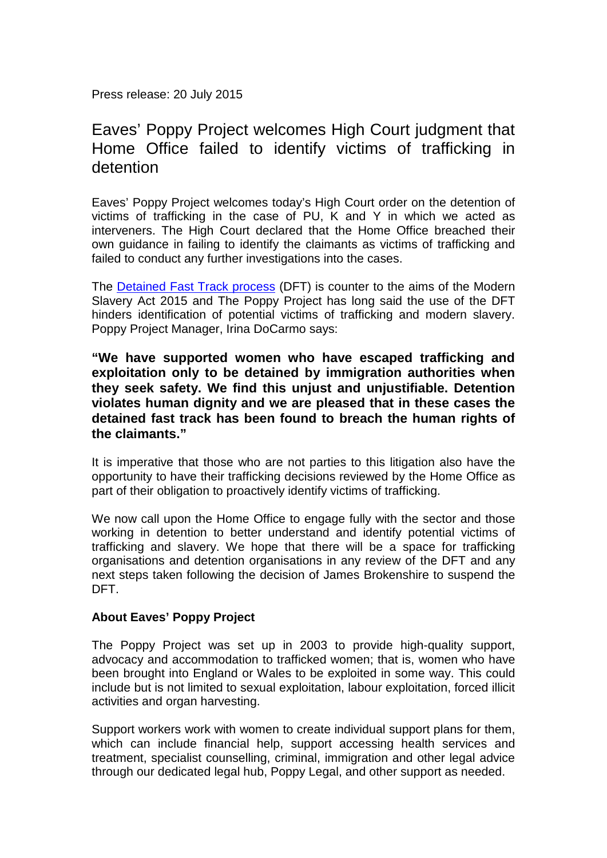Press release: 20 July 2015

## Eaves' Poppy Project welcomes High Court judgment that Home Office failed to identify victims of trafficking in detention

Eaves' Poppy Project welcomes today's High Court order on the detention of victims of trafficking in the case of PU, K and Y in which we acted as interveners. The High Court declared that the Home Office breached their own guidance in failing to identify the claimants as victims of trafficking and failed to conduct any further investigations into the cases.

The [Detained Fast Track process](https://www.liberty-human-rights.org.uk/human-rights/asylum-and-borders/fast-track-system) (DFT) is counter to the aims of the Modern Slavery Act 2015 and The Poppy Project has long said the use of the DFT hinders identification of potential victims of trafficking and modern slavery. Poppy Project Manager, Irina DoCarmo says:

## **"We have supported women who have escaped trafficking and exploitation only to be detained by immigration authorities when they seek safety. We find this unjust and unjustifiable. Detention violates human dignity and we are pleased that in these cases the detained fast track has been found to breach the human rights of the claimants."**

It is imperative that those who are not parties to this litigation also have the opportunity to have their trafficking decisions reviewed by the Home Office as part of their obligation to proactively identify victims of trafficking.

We now call upon the Home Office to engage fully with the sector and those working in detention to better understand and identify potential victims of trafficking and slavery. We hope that there will be a space for trafficking organisations and detention organisations in any review of the DFT and any next steps taken following the decision of James Brokenshire to suspend the DFT.

## **About Eaves' Poppy Project**

The Poppy Project was set up in 2003 to provide high-quality support, advocacy and accommodation to trafficked women; that is, women who have been brought into England or Wales to be exploited in some way. This could include but is not limited to sexual exploitation, labour exploitation, forced illicit activities and organ harvesting.

Support workers work with women to create individual support plans for them, which can include financial help, support accessing health services and treatment, specialist counselling, criminal, immigration and other legal advice through our dedicated legal hub, Poppy Legal, and other support as needed.